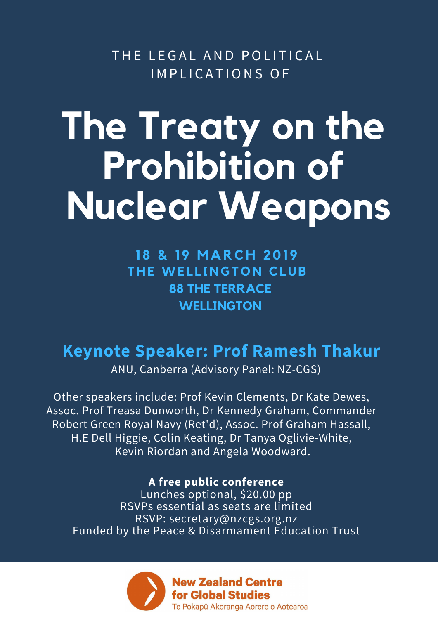THE LEGAL AND POLITICAL IMPLICATIONS OF

## **The Treaty on the Prohibition of Nuclear Weapons**

**1 8 & 1 9 M A RC H 201 9 T H E WE L L I N G TON CLUB 88 THE TERRACE WELLINGTON**

## **Keynote Speaker: Prof Ramesh Thakur**

ANU, Canberra (Advisory Panel: NZ-CGS)

Other speakers include: Prof Kevin Clements, Dr Kate Dewes, Assoc. Prof Treasa Dunworth, Dr Kennedy Graham, Commander Robert Green Royal Navy (Ret'd), Assoc. Prof Graham Hassall, H.E Dell Higgie, Colin Keating, Dr Tanya Oglivie-White, Kevin Riordan and Angela Woodward.

**A free public conference** Lunches optional, \$20.00 pp RSVPs essential as seats are limited RSVP: secretary@nzcgs.org.nz Funded by the Peace & Disarmament Education Trust

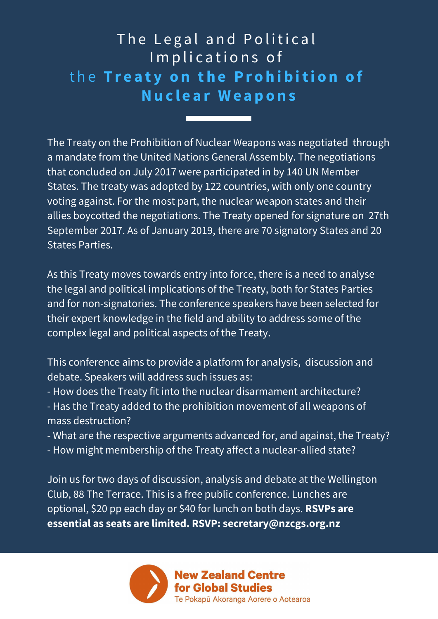**A A UNIQUE POSTAL PROPERTY A T EXPERIMENT EXPERIMENT EXPERIMENT** The Legal and Political Implications of t h e **T r e a t y o n t h e P r o h i b iti o n o f Nu c l e a r W e a p o n s**

The Treaty on the Prohibition of Nuclear Weapons was negotiated through a mandate from the United Nations General Assembly. The negotiations that concluded on July 2017 were participated in by 140 UN Member States. The treaty was adopted by 122 countries, with only one country voting against. For the most part, the nuclear weapon states and their allies boycotted the negotiations. The Treaty opened for signature on 27th September 2017. As of January 2019, there are 70 signatory States and 20 States Parties.

As this Treaty moves towards entry into force, there is a need to analyse the legal and political implications of the Treaty, both for States Parties and for non-signatories. The conference speakers have been selected for their expert knowledge in the field and ability to address some of the complex legal and political aspects of the Treaty.

- This conference aims to provide a platform for analysis, discussion and debate. Speakers will address such issues as:
- How does the Treaty fit into the nuclear disarmament architecture? - Has the Treaty added to the prohibition movement of all weapons of mass destruction?
- What are the respective arguments advanced for, and against, the Treaty?
- How might membership of the Treaty affect a nuclear-allied state?

Join us for two days of discussion, analysis and debate at the Wellington Club, 88 The Terrace. This is a free public conference. Lunches are optional, \$20 pp each day or \$40 for lunch on both days. **RSVPs are essential as seats are limited. RSVP: secretary@nzcgs.org.nz**

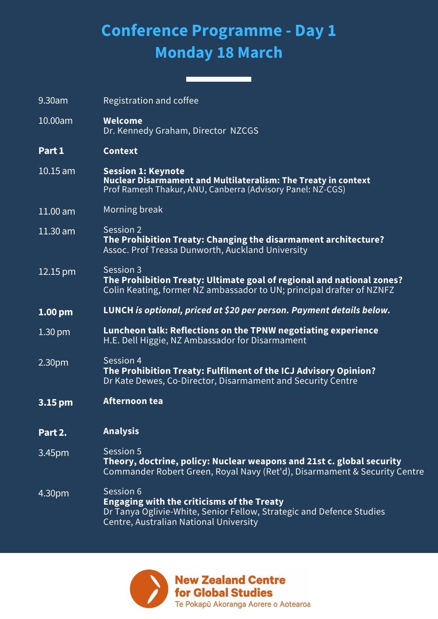## **Conference Programme - Day 1 Monday 18 March**

9.30am 10.00am **Part 1** 10.15 am 11.00 am 11.30 am  $12.15$  pm **1.00 pm** 1.30 pm 2.30pm **3.15 pm Part 2.** 3.45pm 4.30pm Registration and coffee **Welcome** Dr. Kennedy Graham, Director NZCGS **Context Session 1: Keynote Nuclear Disarmament and Multilateralism: The Treaty in context** Prof Ramesh Thakur, ANU, Canberra (Advisory Panel: NZ-CGS) Morning break Session<sub>2</sub> **The Prohibition Treaty: Changing the disarmament architecture?** Assoc. Prof Treasa Dunworth, Auckland University Session 3 **The Prohibition Treaty: Ultimate goal of regional and national zones?** Colin Keating, former NZ ambassador to UN; principal drafter of NZNFZ **LUNCH** *is optional, priced at \$20 per person. Payment details below.* **Luncheon talk: Reflections on the TPNW negotiating experience** H.E. Dell Higgie, NZ Ambassador for Disarmament Session 4 **The Prohibition Treaty: Fulfilment of the ICJ Advisory Opinion?** Dr Kate Dewes, Co-Director, Disarmament and Security Centre **Afternoon tea Analysis** Session 5 **Theory, doctrine, policy: Nuclear weapons and 21st c. global security** Commander Robert Green, Royal Navy (Ret'd), Disarmament & Security Centre Session 6 **Engaging with the criticisms of the Treaty** Dr Tanya Oglivie-White, Senior Fellow, Strategic and Defence Studies Centre, Australian National University